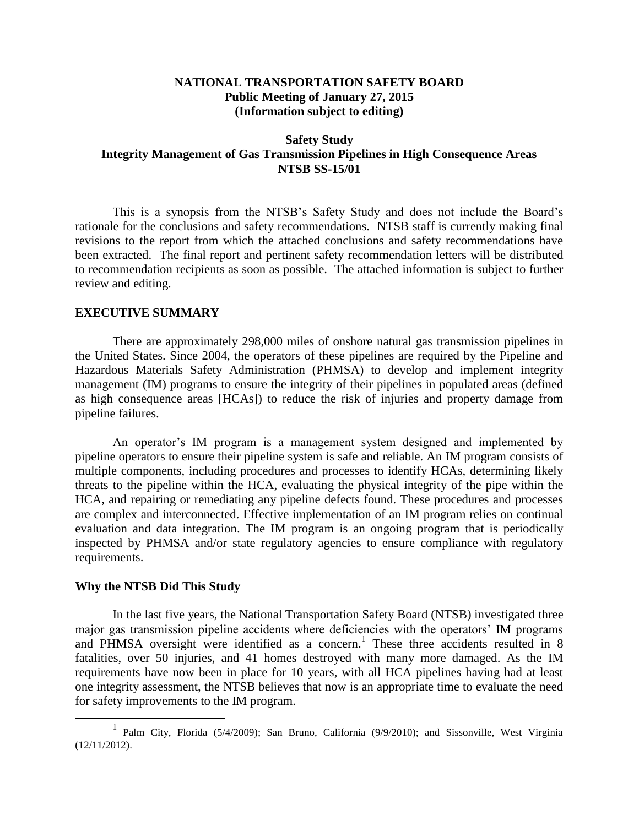### **NATIONAL TRANSPORTATION SAFETY BOARD Public Meeting of January 27, 2015 (Information subject to editing)**

### **Safety Study Integrity Management of Gas Transmission Pipelines in High Consequence Areas NTSB SS-15/01**

This is a synopsis from the NTSB's Safety Study and does not include the Board's rationale for the conclusions and safety recommendations. NTSB staff is currently making final revisions to the report from which the attached conclusions and safety recommendations have been extracted. The final report and pertinent safety recommendation letters will be distributed to recommendation recipients as soon as possible. The attached information is subject to further review and editing.

#### **EXECUTIVE SUMMARY**

There are approximately 298,000 miles of onshore natural gas transmission pipelines in the United States. Since 2004, the operators of these pipelines are required by the Pipeline and Hazardous Materials Safety Administration (PHMSA) to develop and implement integrity management (IM) programs to ensure the integrity of their pipelines in populated areas (defined as high consequence areas [HCAs]) to reduce the risk of injuries and property damage from pipeline failures.

An operator's IM program is a management system designed and implemented by pipeline operators to ensure their pipeline system is safe and reliable. An IM program consists of multiple components, including procedures and processes to identify HCAs, determining likely threats to the pipeline within the HCA, evaluating the physical integrity of the pipe within the HCA, and repairing or remediating any pipeline defects found. These procedures and processes are complex and interconnected. Effective implementation of an IM program relies on continual evaluation and data integration. The IM program is an ongoing program that is periodically inspected by PHMSA and/or state regulatory agencies to ensure compliance with regulatory requirements.

#### **Why the NTSB Did This Study**

 $\overline{a}$ 

In the last five years, the National Transportation Safety Board (NTSB) investigated three major gas transmission pipeline accidents where deficiencies with the operators' IM programs and PHMSA oversight were identified as a concern.<sup>1</sup> These three accidents resulted in 8 fatalities, over 50 injuries, and 41 homes destroyed with many more damaged. As the IM requirements have now been in place for 10 years, with all HCA pipelines having had at least one integrity assessment, the NTSB believes that now is an appropriate time to evaluate the need for safety improvements to the IM program.

<sup>&</sup>lt;sup>1</sup> Palm City, Florida (5/4/2009); San Bruno, California (9/9/2010); and Sissonville, West Virginia (12/11/2012).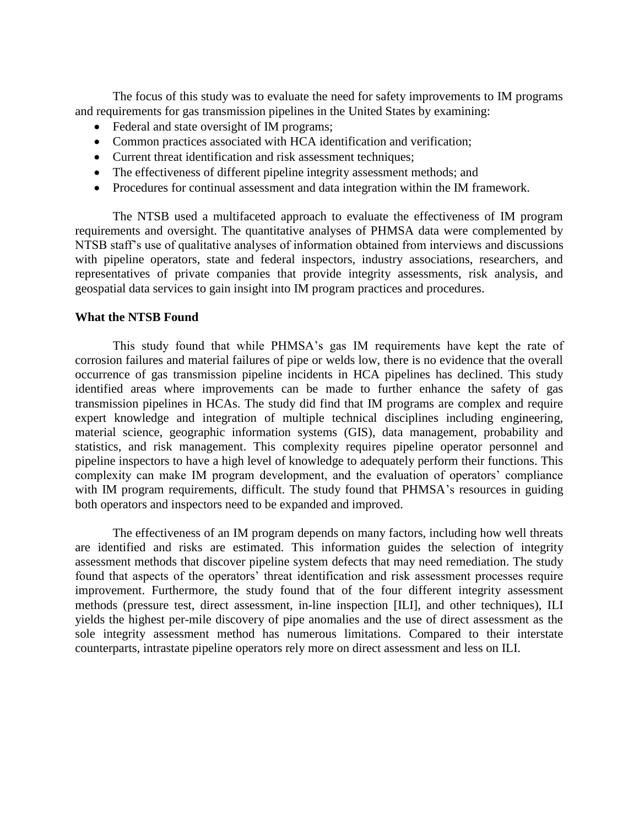The focus of this study was to evaluate the need for safety improvements to IM programs and requirements for gas transmission pipelines in the United States by examining:

- Federal and state oversight of IM programs;
- Common practices associated with HCA identification and verification;
- Current threat identification and risk assessment techniques;
- The effectiveness of different pipeline integrity assessment methods; and
- Procedures for continual assessment and data integration within the IM framework.

The NTSB used a multifaceted approach to evaluate the effectiveness of IM program requirements and oversight. The quantitative analyses of PHMSA data were complemented by NTSB staff's use of qualitative analyses of information obtained from interviews and discussions with pipeline operators, state and federal inspectors, industry associations, researchers, and representatives of private companies that provide integrity assessments, risk analysis, and geospatial data services to gain insight into IM program practices and procedures.

#### **What the NTSB Found**

This study found that while PHMSA's gas IM requirements have kept the rate of corrosion failures and material failures of pipe or welds low, there is no evidence that the overall occurrence of gas transmission pipeline incidents in HCA pipelines has declined. This study identified areas where improvements can be made to further enhance the safety of gas transmission pipelines in HCAs. The study did find that IM programs are complex and require expert knowledge and integration of multiple technical disciplines including engineering, material science, geographic information systems (GIS), data management, probability and statistics, and risk management. This complexity requires pipeline operator personnel and pipeline inspectors to have a high level of knowledge to adequately perform their functions. This complexity can make IM program development, and the evaluation of operators' compliance with IM program requirements, difficult. The study found that PHMSA's resources in guiding both operators and inspectors need to be expanded and improved.

The effectiveness of an IM program depends on many factors, including how well threats are identified and risks are estimated. This information guides the selection of integrity assessment methods that discover pipeline system defects that may need remediation. The study found that aspects of the operators' threat identification and risk assessment processes require improvement. Furthermore, the study found that of the four different integrity assessment methods (pressure test, direct assessment, in-line inspection [ILI], and other techniques), ILI yields the highest per-mile discovery of pipe anomalies and the use of direct assessment as the sole integrity assessment method has numerous limitations. Compared to their interstate counterparts, intrastate pipeline operators rely more on direct assessment and less on ILI.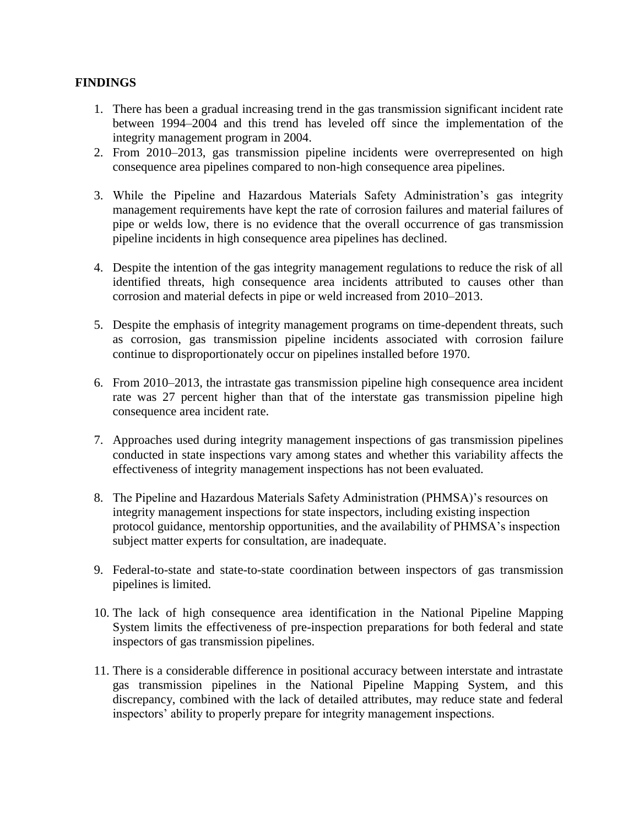## **FINDINGS**

- 1. There has been a gradual increasing trend in the gas transmission significant incident rate between 1994–2004 and this trend has leveled off since the implementation of the integrity management program in 2004.
- 2. From 2010–2013, gas transmission pipeline incidents were overrepresented on high consequence area pipelines compared to non-high consequence area pipelines.
- 3. While the Pipeline and Hazardous Materials Safety Administration's gas integrity management requirements have kept the rate of corrosion failures and material failures of pipe or welds low, there is no evidence that the overall occurrence of gas transmission pipeline incidents in high consequence area pipelines has declined.
- 4. Despite the intention of the gas integrity management regulations to reduce the risk of all identified threats, high consequence area incidents attributed to causes other than corrosion and material defects in pipe or weld increased from 2010–2013.
- 5. Despite the emphasis of integrity management programs on time-dependent threats, such as corrosion, gas transmission pipeline incidents associated with corrosion failure continue to disproportionately occur on pipelines installed before 1970.
- 6. From 2010–2013, the intrastate gas transmission pipeline high consequence area incident rate was 27 percent higher than that of the interstate gas transmission pipeline high consequence area incident rate.
- 7. Approaches used during integrity management inspections of gas transmission pipelines conducted in state inspections vary among states and whether this variability affects the effectiveness of integrity management inspections has not been evaluated.
- 8. The Pipeline and Hazardous Materials Safety Administration (PHMSA)'s resources on integrity management inspections for state inspectors, including existing inspection protocol guidance, mentorship opportunities, and the availability of PHMSA's inspection subject matter experts for consultation, are inadequate.
- 9. Federal-to-state and state-to-state coordination between inspectors of gas transmission pipelines is limited.
- 10. The lack of high consequence area identification in the National Pipeline Mapping System limits the effectiveness of pre-inspection preparations for both federal and state inspectors of gas transmission pipelines.
- 11. There is a considerable difference in positional accuracy between interstate and intrastate gas transmission pipelines in the National Pipeline Mapping System, and this discrepancy, combined with the lack of detailed attributes, may reduce state and federal inspectors' ability to properly prepare for integrity management inspections.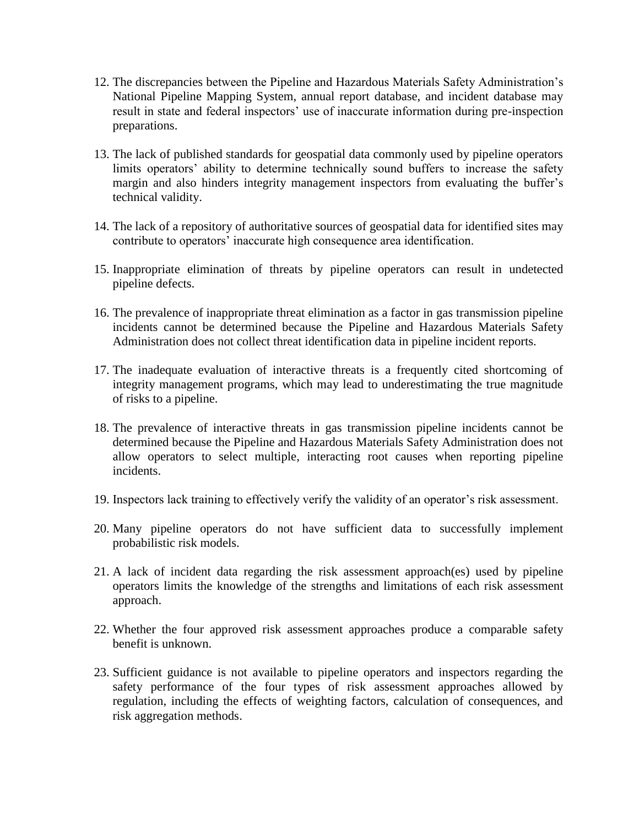- 12. The discrepancies between the Pipeline and Hazardous Materials Safety Administration's National Pipeline Mapping System, annual report database, and incident database may result in state and federal inspectors' use of inaccurate information during pre-inspection preparations.
- 13. The lack of published standards for geospatial data commonly used by pipeline operators limits operators' ability to determine technically sound buffers to increase the safety margin and also hinders integrity management inspectors from evaluating the buffer's technical validity.
- 14. The lack of a repository of authoritative sources of geospatial data for identified sites may contribute to operators' inaccurate high consequence area identification.
- 15. Inappropriate elimination of threats by pipeline operators can result in undetected pipeline defects.
- 16. The prevalence of inappropriate threat elimination as a factor in gas transmission pipeline incidents cannot be determined because the Pipeline and Hazardous Materials Safety Administration does not collect threat identification data in pipeline incident reports.
- 17. The inadequate evaluation of interactive threats is a frequently cited shortcoming of integrity management programs, which may lead to underestimating the true magnitude of risks to a pipeline.
- 18. The prevalence of interactive threats in gas transmission pipeline incidents cannot be determined because the Pipeline and Hazardous Materials Safety Administration does not allow operators to select multiple, interacting root causes when reporting pipeline incidents.
- 19. Inspectors lack training to effectively verify the validity of an operator's risk assessment.
- 20. Many pipeline operators do not have sufficient data to successfully implement probabilistic risk models.
- 21. A lack of incident data regarding the risk assessment approach(es) used by pipeline operators limits the knowledge of the strengths and limitations of each risk assessment approach.
- 22. Whether the four approved risk assessment approaches produce a comparable safety benefit is unknown.
- 23. Sufficient guidance is not available to pipeline operators and inspectors regarding the safety performance of the four types of risk assessment approaches allowed by regulation, including the effects of weighting factors, calculation of consequences, and risk aggregation methods.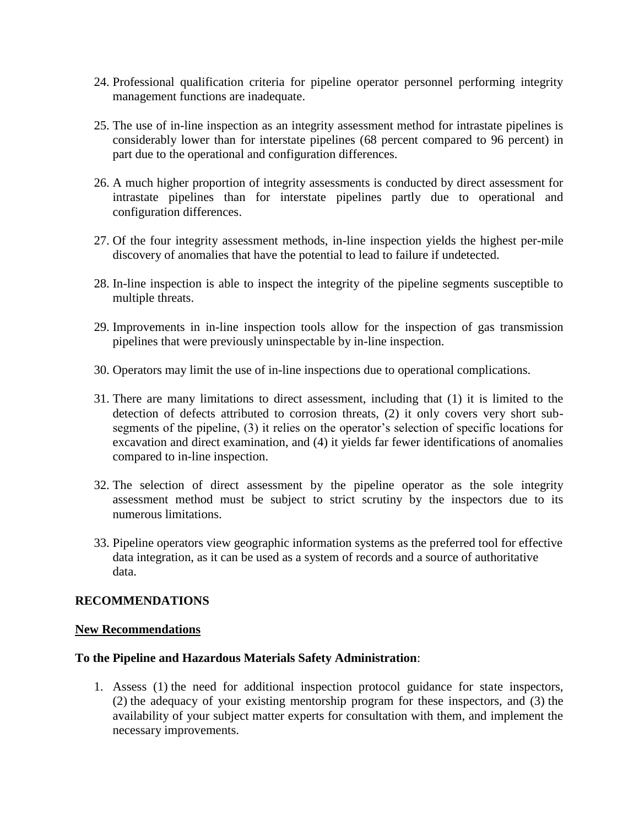- 24. Professional qualification criteria for pipeline operator personnel performing integrity management functions are inadequate.
- 25. The use of in-line inspection as an integrity assessment method for intrastate pipelines is considerably lower than for interstate pipelines (68 percent compared to 96 percent) in part due to the operational and configuration differences.
- 26. A much higher proportion of integrity assessments is conducted by direct assessment for intrastate pipelines than for interstate pipelines partly due to operational and configuration differences.
- 27. Of the four integrity assessment methods, in-line inspection yields the highest per-mile discovery of anomalies that have the potential to lead to failure if undetected.
- 28. In-line inspection is able to inspect the integrity of the pipeline segments susceptible to multiple threats.
- 29. Improvements in in-line inspection tools allow for the inspection of gas transmission pipelines that were previously uninspectable by in-line inspection.
- 30. Operators may limit the use of in-line inspections due to operational complications.
- 31. There are many limitations to direct assessment, including that (1) it is limited to the detection of defects attributed to corrosion threats, (2) it only covers very short subsegments of the pipeline, (3) it relies on the operator's selection of specific locations for excavation and direct examination, and (4) it yields far fewer identifications of anomalies compared to in-line inspection.
- 32. The selection of direct assessment by the pipeline operator as the sole integrity assessment method must be subject to strict scrutiny by the inspectors due to its numerous limitations.
- 33. Pipeline operators view geographic information systems as the preferred tool for effective data integration, as it can be used as a system of records and a source of authoritative data.

### **RECOMMENDATIONS**

### **New Recommendations**

### **To the Pipeline and Hazardous Materials Safety Administration**:

1. Assess (1) the need for additional inspection protocol guidance for state inspectors, (2) the adequacy of your existing mentorship program for these inspectors, and (3) the availability of your subject matter experts for consultation with them, and implement the necessary improvements.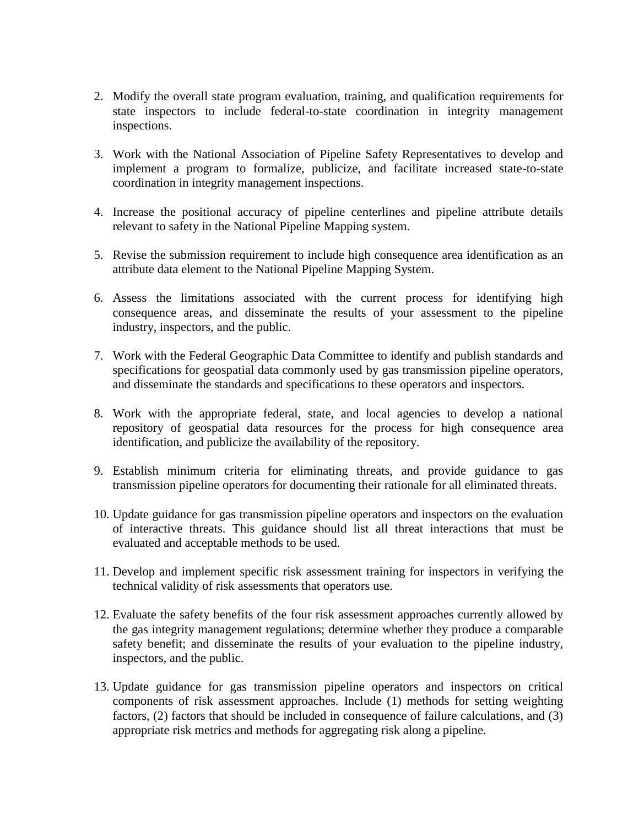- 2. Modify the overall state program evaluation, training, and qualification requirements for state inspectors to include federal-to-state coordination in integrity management inspections.
- 3. Work with the National Association of Pipeline Safety Representatives to develop and implement a program to formalize, publicize, and facilitate increased state-to-state coordination in integrity management inspections.
- 4. Increase the positional accuracy of pipeline centerlines and pipeline attribute details relevant to safety in the National Pipeline Mapping system.
- 5. Revise the submission requirement to include high consequence area identification as an attribute data element to the National Pipeline Mapping System.
- 6. Assess the limitations associated with the current process for identifying high consequence areas, and disseminate the results of your assessment to the pipeline industry, inspectors, and the public.
- 7. Work with the Federal Geographic Data Committee to identify and publish standards and specifications for geospatial data commonly used by gas transmission pipeline operators, and disseminate the standards and specifications to these operators and inspectors.
- 8. Work with the appropriate federal, state, and local agencies to develop a national repository of geospatial data resources for the process for high consequence area identification, and publicize the availability of the repository.
- 9. Establish minimum criteria for eliminating threats, and provide guidance to gas transmission pipeline operators for documenting their rationale for all eliminated threats.
- 10. Update guidance for gas transmission pipeline operators and inspectors on the evaluation of interactive threats. This guidance should list all threat interactions that must be evaluated and acceptable methods to be used.
- 11. Develop and implement specific risk assessment training for inspectors in verifying the technical validity of risk assessments that operators use.
- 12. Evaluate the safety benefits of the four risk assessment approaches currently allowed by the gas integrity management regulations; determine whether they produce a comparable safety benefit; and disseminate the results of your evaluation to the pipeline industry, inspectors, and the public.
- 13. Update guidance for gas transmission pipeline operators and inspectors on critical components of risk assessment approaches. Include (1) methods for setting weighting factors, (2) factors that should be included in consequence of failure calculations, and (3) appropriate risk metrics and methods for aggregating risk along a pipeline.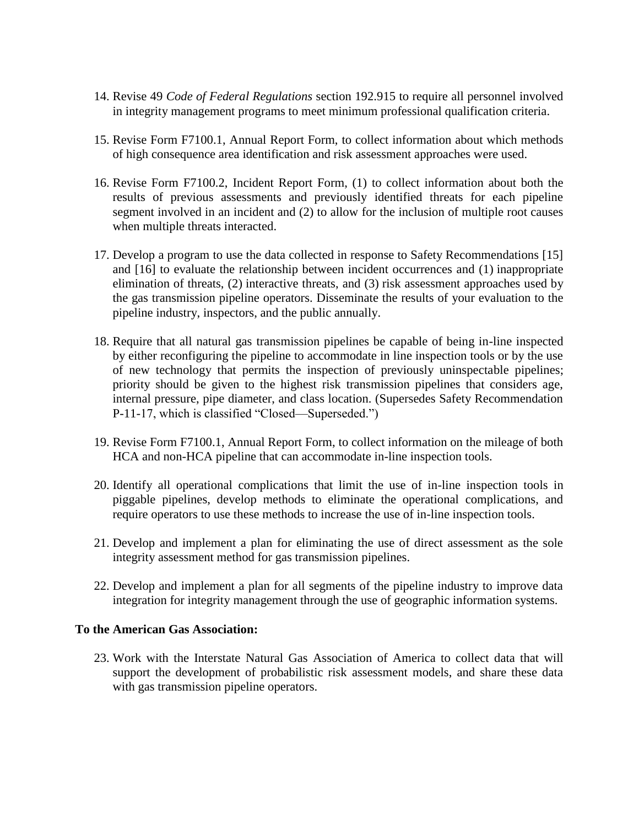- 14. Revise 49 *Code of Federal Regulations* section 192.915 to require all personnel involved in integrity management programs to meet minimum professional qualification criteria.
- 15. Revise Form F7100.1, Annual Report Form, to collect information about which methods of high consequence area identification and risk assessment approaches were used.
- 16. Revise Form F7100.2, Incident Report Form, (1) to collect information about both the results of previous assessments and previously identified threats for each pipeline segment involved in an incident and (2) to allow for the inclusion of multiple root causes when multiple threats interacted.
- 17. Develop a program to use the data collected in response to Safety Recommendations [15] and [16] to evaluate the relationship between incident occurrences and (1) inappropriate elimination of threats, (2) interactive threats, and (3) risk assessment approaches used by the gas transmission pipeline operators. Disseminate the results of your evaluation to the pipeline industry, inspectors, and the public annually.
- 18. Require that all natural gas transmission pipelines be capable of being in-line inspected by either reconfiguring the pipeline to accommodate in line inspection tools or by the use of new technology that permits the inspection of previously uninspectable pipelines; priority should be given to the highest risk transmission pipelines that considers age, internal pressure, pipe diameter, and class location. (Supersedes Safety Recommendation P-11-17, which is classified "Closed—Superseded.")
- 19. Revise Form F7100.1, Annual Report Form, to collect information on the mileage of both HCA and non-HCA pipeline that can accommodate in-line inspection tools.
- 20. Identify all operational complications that limit the use of in-line inspection tools in piggable pipelines, develop methods to eliminate the operational complications, and require operators to use these methods to increase the use of in-line inspection tools.
- 21. Develop and implement a plan for eliminating the use of direct assessment as the sole integrity assessment method for gas transmission pipelines.
- 22. Develop and implement a plan for all segments of the pipeline industry to improve data integration for integrity management through the use of geographic information systems.

### **To the American Gas Association:**

23. Work with the Interstate Natural Gas Association of America to collect data that will support the development of probabilistic risk assessment models, and share these data with gas transmission pipeline operators.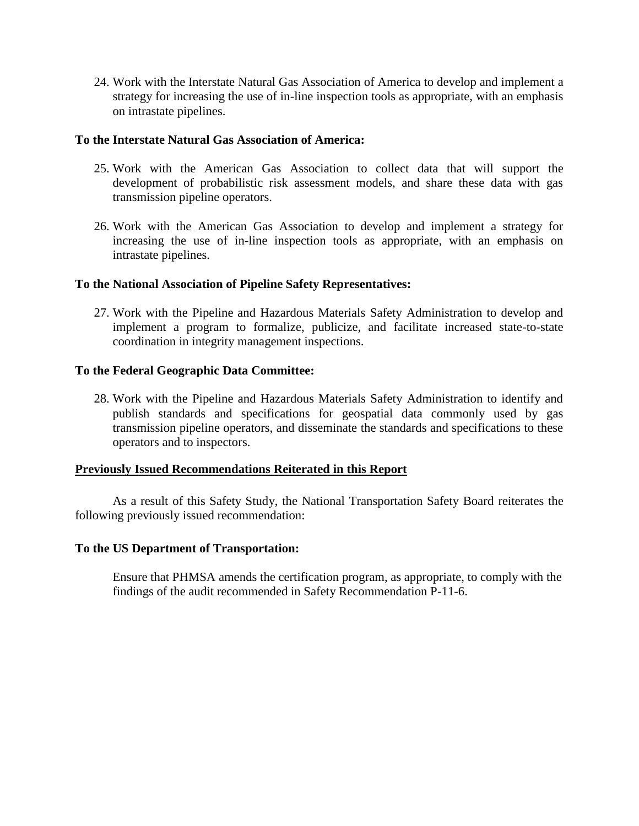24. Work with the Interstate Natural Gas Association of America to develop and implement a strategy for increasing the use of in-line inspection tools as appropriate, with an emphasis on intrastate pipelines.

### **To the Interstate Natural Gas Association of America:**

- 25. Work with the American Gas Association to collect data that will support the development of probabilistic risk assessment models, and share these data with gas transmission pipeline operators.
- 26. Work with the American Gas Association to develop and implement a strategy for increasing the use of in-line inspection tools as appropriate, with an emphasis on intrastate pipelines.

## **To the National Association of Pipeline Safety Representatives:**

27. Work with the Pipeline and Hazardous Materials Safety Administration to develop and implement a program to formalize, publicize, and facilitate increased state-to-state coordination in integrity management inspections.

## **To the Federal Geographic Data Committee:**

28. Work with the Pipeline and Hazardous Materials Safety Administration to identify and publish standards and specifications for geospatial data commonly used by gas transmission pipeline operators, and disseminate the standards and specifications to these operators and to inspectors.

### **Previously Issued Recommendations Reiterated in this Report**

As a result of this Safety Study, the National Transportation Safety Board reiterates the following previously issued recommendation:

### **To the US Department of Transportation:**

Ensure that PHMSA amends the certification program, as appropriate, to comply with the findings of the audit recommended in Safety Recommendation P-11-6.